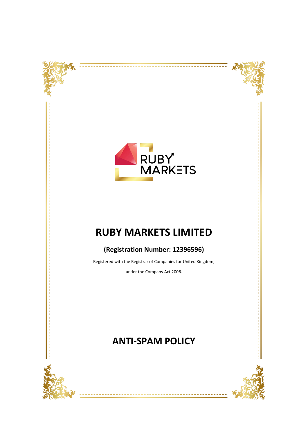



--------------------



# **RUBY MARKETS LIMITED**

## **(Registration Number: 12396596)**

Registered with the Registrar of Companies for United Kingdom,

under the Company Act 2006.

## **ANTI-SPAM POLICY**



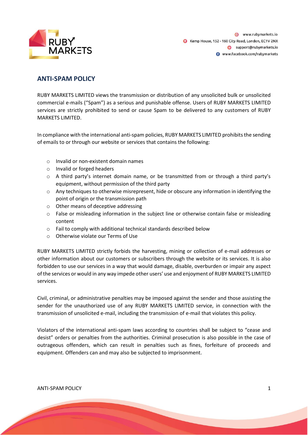

### **ANTI-SPAM POLICY**

RUBY MARKETS LIMITED views the transmission or distribution of any unsolicited bulk or unsolicited commercial e-mails ("Spam") as a serious and punishable offense. Users of RUBY MARKETS LIMITED services are strictly prohibited to send or cause Spam to be delivered to any customers of RUBY MARKETS LIMITED.

In compliance with the international anti-spam policies, RUBY MARKETS LIMITED prohibits the sending of emails to or through our website or services that contains the following:

- o Invalid or non-existent domain names
- o Invalid or forged headers
- $\circ$  A third party's internet domain name, or be transmitted from or through a third party's equipment, without permission of the third party
- o Any techniques to otherwise misrepresent, hide or obscure any information in identifying the point of origin or the transmission path
- o Other means of deceptive addressing
- o False or misleading information in the subject line or otherwise contain false or misleading content
- o Fail to comply with additional technical standards described below
- o Otherwise violate our Terms of Use

RUBY MARKETS LIMITED strictly forbids the harvesting, mining or collection of e-mail addresses or other information about our customers or subscribers through the website or its services. It is also forbidden to use our services in a way that would damage, disable, overburden or impair any aspect of the services or would in any way impede other users' use and enjoyment of RUBY MARKETS LIMITED services.

Civil, criminal, or administrative penalties may be imposed against the sender and those assisting the sender for the unauthorized use of any RUBY MARKETS LIMITED service, in connection with the transmission of unsolicited e-mail, including the transmission of e-mail that violates this policy.

Violators of the international anti-spam laws according to countries shall be subject to "cease and desist" orders or penalties from the authorities. Criminal prosecution is also possible in the case of outrageous offenders, which can result in penalties such as fines, forfeiture of proceeds and equipment. Offenders can and may also be subjected to imprisonment.